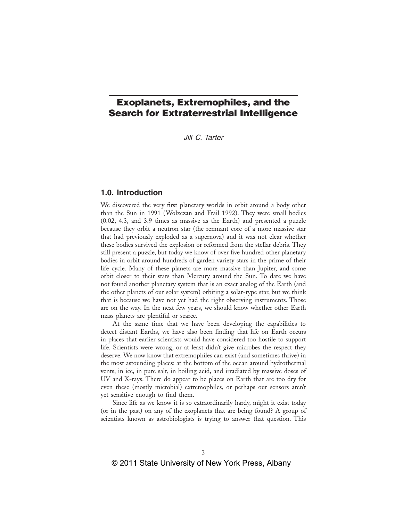Jill C. Tarter

# **1.0. Introduction**

We discovered the very first planetary worlds in orbit around a body other than the Sun in 1991 (Wolzczan and Frail 1992). They were small bodies (0.02, 4.3, and 3.9 times as massive as the Earth) and presented a puzzle because they orbit a neutron star (the remnant core of a more massive star that had previously exploded as a supernova) and it was not clear whether these bodies survived the explosion or reformed from the stellar debris. They still present a puzzle, but today we know of over five hundred other planetary bodies in orbit around hundreds of garden variety stars in the prime of their life cycle. Many of these planets are more massive than Jupiter, and some orbit closer to their stars than Mercury around the Sun. To date we have not found another planetary system that is an exact analog of the Earth (and the other planets of our solar system) orbiting a solar-type star, but we think that is because we have not yet had the right observing instruments. Those are on the way. In the next few years, we should know whether other Earth mass planets are plentiful or scarce.

At the same time that we have been developing the capabilities to detect distant Earths, we have also been finding that life on Earth occurs in places that earlier scientists would have considered too hostile to support life. Scientists were wrong, or at least didn't give microbes the respect they deserve. We now know that extremophiles can exist (and sometimes thrive) in the most astounding places: at the bottom of the ocean around hydrothermal vents, in ice, in pure salt, in boiling acid, and irradiated by massive doses of UV and X-rays. There do appear to be places on Earth that are too dry for even these (mostly microbial) extremophiles, or perhaps our sensors aren't yet sensitive enough to find them.

Since life as we know it is so extraordinarily hardy, might it exist today (or in the past) on any of the exoplanets that are being found? A group of scientists known as astrobiologists is trying to answer that question. This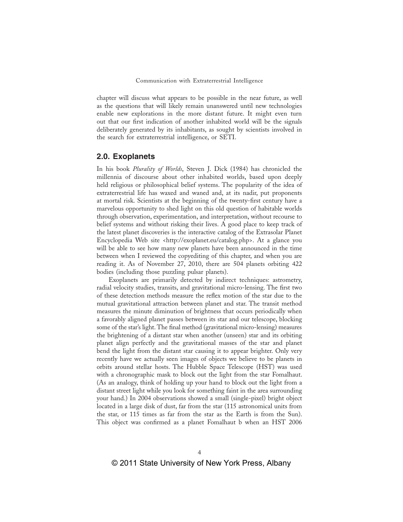chapter will discuss what appears to be possible in the near future, as well as the questions that will likely remain unanswered until new technologies enable new explorations in the more distant future. It might even turn out that our first indication of another inhabited world will be the signals deliberately generated by its inhabitants, as sought by scientists involved in the search for extraterrestrial intelligence, or SETI.

### **2.0. Exoplanets**

In his book *Plurality of Worlds*, Steven J. Dick (1984) has chronicled the millennia of discourse about other inhabited worlds, based upon deeply held religious or philosophical belief systems. The popularity of the idea of extraterrestrial life has waxed and waned and, at its nadir, put proponents at mortal risk. Scientists at the beginning of the twenty-first century have a marvelous opportunity to shed light on this old question of habitable worlds through observation, experimentation, and interpretation, without recourse to belief systems and without risking their lives. A good place to keep track of the latest planet discoveries is the interactive catalog of the Extrasolar Planet Encyclopedia Web site <http://exoplanet.eu/catalog.php>. At a glance you will be able to see how many new planets have been announced in the time between when I reviewed the copyediting of this chapter, and when you are reading it. As of November 27, 2010, there are 504 planets orbiting 422 bodies (including those puzzling pulsar planets).

Exoplanets are primarily detected by indirect techniques: astrometry, radial velocity studies, transits, and gravitational micro-lensing. The first two of these detection methods measure the reflex motion of the star due to the mutual gravitational attraction between planet and star. The transit method measures the minute diminution of brightness that occurs periodically when a favorably aligned planet passes between its star and our telescope, blocking some of the star's light. The final method (gravitational micro-lensing) measures the brightening of a distant star when another (unseen) star and its orbiting planet align perfectly and the gravitational masses of the star and planet bend the light from the distant star causing it to appear brighter. Only very recently have we actually seen images of objects we believe to be planets in orbits around stellar hosts. The Hubble Space Telescope (HST) was used with a chronographic mask to block out the light from the star Fomalhaut. (As an analogy, think of holding up your hand to block out the light from a distant street light while you look for something faint in the area surrounding your hand.) In 2004 observations showed a small (single-pixel) bright object located in a large disk of dust, far from the star (115 astronomical units from the star, or 115 times as far from the star as the Earth is from the Sun). This object was confirmed as a planet Fomalhaut b when an HST 2006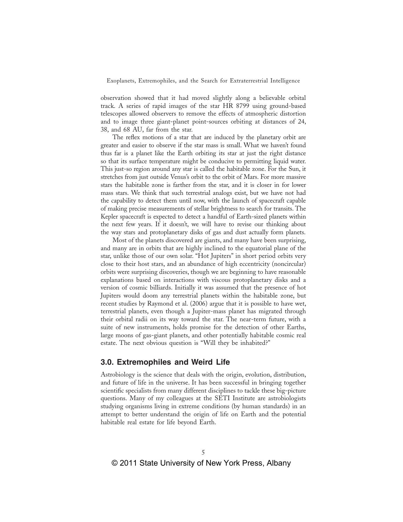observation showed that it had moved slightly along a believable orbital track. A series of rapid images of the star HR 8799 using ground-based telescopes allowed observers to remove the effects of atmospheric distortion and to image three giant-planet point-sources orbiting at distances of 24, 38, and 68 AU, far from the star.

The reflex motions of a star that are induced by the planetary orbit are greater and easier to observe if the star mass is small. What we haven't found thus far is a planet like the Earth orbiting its star at just the right distance so that its surface temperature might be conducive to permitting liquid water. This just-so region around any star is called the habitable zone. For the Sun, it stretches from just outside Venus's orbit to the orbit of Mars. For more massive stars the habitable zone is farther from the star, and it is closer in for lower mass stars. We think that such terrestrial analogs exist, but we have not had the capability to detect them until now, with the launch of spacecraft capable of making precise measurements of stellar brightness to search for transits. The Kepler spacecraft is expected to detect a handful of Earth-sized planets within the next few years. If it doesn't, we will have to revise our thinking about the way stars and protoplanetary disks of gas and dust actually form planets.

Most of the planets discovered are giants, and many have been surprising, and many are in orbits that are highly inclined to the equatorial plane of the star, unlike those of our own solar. "Hot Jupiters" in short period orbits very close to their host stars, and an abundance of high eccentricity (noncircular) orbits were surprising discoveries, though we are beginning to have reasonable explanations based on interactions with viscous protoplanetary disks and a version of cosmic billiards. Initially it was assumed that the presence of hot Jupiters would doom any terrestrial planets within the habitable zone, but recent studies by Raymond et al. (2006) argue that it is possible to have wet, terrestrial planets, even though a Jupiter-mass planet has migrated through their orbital radii on its way toward the star. The near-term future, with a suite of new instruments, holds promise for the detection of other Earths, large moons of gas-giant planets, and other potentially habitable cosmic real estate. The next obvious question is "Will they be inhabited?"

# **3.0. Extremophiles and Weird Life**

Astrobiology is the science that deals with the origin, evolution, distribution, and future of life in the universe. It has been successful in bringing together scientific specialists from many different disciplines to tackle these big-picture questions. Many of my colleagues at the SETI Institute are astrobiologists studying organisms living in extreme conditions (by human standards) in an attempt to better understand the origin of life on Earth and the potential habitable real estate for life beyond Earth.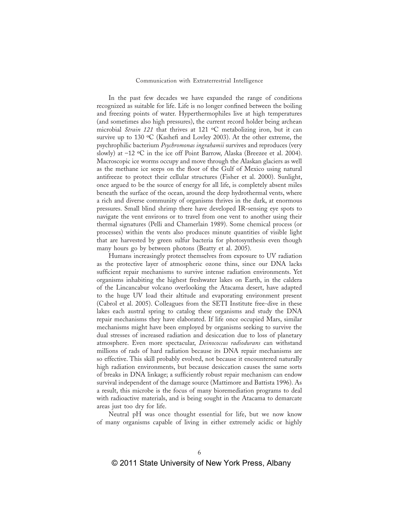In the past few decades we have expanded the range of conditions recognized as suitable for life. Life is no longer confined between the boiling and freezing points of water. Hyperthermophiles live at high temperatures (and sometimes also high pressures), the current record holder being archean microbial *Strain 121* that thrives at 121 ºC metabolizing iron, but it can survive up to 130 ºC (Kashefi and Lovley 2003). At the other extreme, the psychrophilic bacterium *Psychromonas ingrahamii* survives and reproduces (very slowly) at –12 ºC in the ice off Point Barrow, Alaska (Breezee et al. 2004). Macroscopic ice worms occupy and move through the Alaskan glaciers as well as the methane ice seeps on the floor of the Gulf of Mexico using natural antifreeze to protect their cellular structures (Fisher et al. 2000). Sunlight, once argued to be the source of energy for all life, is completely absent miles beneath the surface of the ocean, around the deep hydrothermal vents, where a rich and diverse community of organisms thrives in the dark, at enormous pressures. Small blind shrimp there have developed IR-sensing eye spots to navigate the vent environs or to travel from one vent to another using their thermal signatures (Pelli and Chamerlain 1989). Some chemical process (or processes) within the vents also produces minute quantities of visible light that are harvested by green sulfur bacteria for photosynthesis even though many hours go by between photons (Beatty et al. 2005).

Humans increasingly protect themselves from exposure to UV radiation as the protective layer of atmospheric ozone thins, since our DNA lacks sufficient repair mechanisms to survive intense radiation environments. Yet organisms inhabiting the highest freshwater lakes on Earth, in the caldera of the Lincancabur volcano overlooking the Atacama desert, have adapted to the huge UV load their altitude and evaporating environment present (Cabrol et al. 2005). Colleagues from the SETI Institute free-dive in these lakes each austral spring to catalog these organisms and study the DNA repair mechanisms they have elaborated. If life once occupied Mars, similar mechanisms might have been employed by organisms seeking to survive the dual stresses of increased radiation and desiccation due to loss of planetary atmosphere. Even more spectacular, *Deinococcus radiodurans* can withstand millions of rads of hard radiation because its DNA repair mechanisms are so effective. This skill probably evolved, not because it encountered naturally high radiation environments, but because desiccation causes the same sorts of breaks in DNA linkage; a sufficiently robust repair mechanism can endow survival independent of the damage source (Mattimore and Battista 1996). As a result, this microbe is the focus of many bioremediation programs to deal with radioactive materials, and is being sought in the Atacama to demarcate areas just too dry for life.

Neutral pH was once thought essential for life, but we now know of many organisms capable of living in either extremely acidic or highly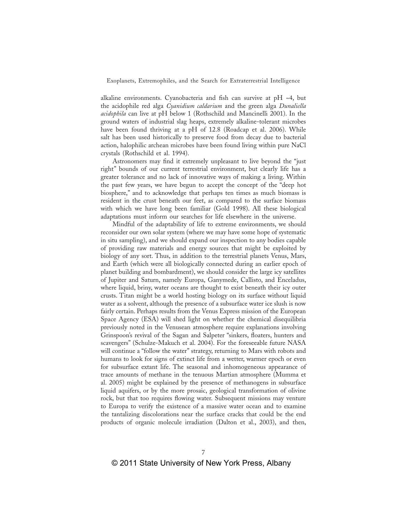alkaline environments. Cyanobacteria and fish can survive at pH ~4, but the acidophile red alga *Cyanidium caldarium* and the green alga *Dunaliella acidophila* can live at pH below 1 (Rothschild and Mancinelli 2001). In the ground waters of industrial slag heaps, extremely alkaline-tolerant microbes have been found thriving at a pH of 12.8 (Roadcap et al. 2006). While salt has been used historically to preserve food from decay due to bacterial action, halophilic archean microbes have been found living within pure NaCl crystals (Rothschild et al. 1994).

Astronomers may find it extremely unpleasant to live beyond the "just right" bounds of our current terrestrial environment, but clearly life has a greater tolerance and no lack of innovative ways of making a living. Within the past few years, we have begun to accept the concept of the "deep hot biosphere," and to acknowledge that perhaps ten times as much biomass is resident in the crust beneath our feet, as compared to the surface biomass with which we have long been familiar (Gold 1998). All these biological adaptations must inform our searches for life elsewhere in the universe.

Mindful of the adaptability of life to extreme environments, we should reconsider our own solar system (where we may have some hope of systematic in situ sampling), and we should expand our inspection to any bodies capable of providing raw materials and energy sources that might be exploited by biology of any sort. Thus, in addition to the terrestrial planets Venus, Mars, and Earth (which were all biologically connected during an earlier epoch of planet building and bombardment), we should consider the large icy satellites of Jupiter and Saturn, namely Europa, Ganymede, Callisto, and Enceladus, where liquid, briny, water oceans are thought to exist beneath their icy outer crusts. Titan might be a world hosting biology on its surface without liquid water as a solvent, although the presence of a subsurface water ice slush is now fairly certain. Perhaps results from the Venus Express mission of the European Space Agency (ESA) will shed light on whether the chemical disequilibria previously noted in the Venusean atmosphere require explanations involving Grinspoon's revival of the Sagan and Salpeter "sinkers, floaters, hunters and scavengers" (Schulze-Makuch et al. 2004). For the foreseeable future NASA will continue a "follow the water" strategy, returning to Mars with robots and humans to look for signs of extinct life from a wetter, warmer epoch or even for subsurface extant life. The seasonal and inhomogeneous appearance of trace amounts of methane in the tenuous Martian atmosphere (Mumma et al. 2005) might be explained by the presence of methanogens in subsurface liquid aquifers, or by the more prosaic, geological transformation of olivine rock, but that too requires flowing water. Subsequent missions may venture to Europa to verify the existence of a massive water ocean and to examine the tantalizing discolorations near the surface cracks that could be the end products of organic molecule irradiation (Dalton et al., 2003), and then,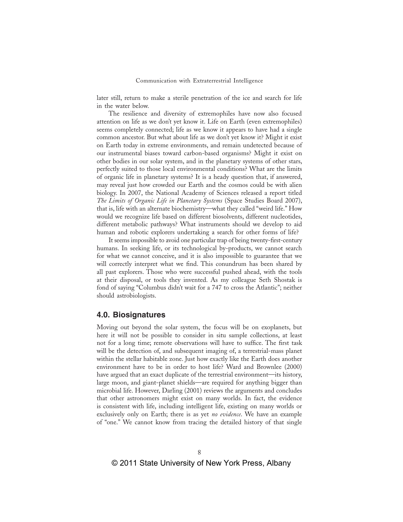later still, return to make a sterile penetration of the ice and search for life in the water below.

The resilience and diversity of extremophiles have now also focused attention on life as we don't yet know it. Life on Earth (even extremophiles) seems completely connected; life as we know it appears to have had a single common ancestor. But what about life as we don't yet know it? Might it exist on Earth today in extreme environments, and remain undetected because of our instrumental biases toward carbon-based organisms? Might it exist on other bodies in our solar system, and in the planetary systems of other stars, perfectly suited to those local environmental conditions? What are the limits of organic life in planetary systems? It is a heady question that, if answered, may reveal just how crowded our Earth and the cosmos could be with alien biology. In 2007, the National Academy of Sciences released a report titled *The Limits of Organic Life in Planetary Systems* (Space Studies Board 2007), that is, life with an alternate biochemistry—what they called "weird life." How would we recognize life based on different biosolvents, different nucleotides, different metabolic pathways? What instruments should we develop to aid human and robotic explorers undertaking a search for other forms of life?

It seems impossible to avoid one particular trap of being twenty-first-century humans. In seeking life, or its technological by-products, we cannot search for what we cannot conceive, and it is also impossible to guarantee that we will correctly interpret what we find. This conundrum has been shared by all past explorers. Those who were successful pushed ahead, with the tools at their disposal, or tools they invented. As my colleague Seth Shostak is fond of saying "Columbus didn't wait for a 747 to cross the Atlantic"; neither should astrobiologists.

### **4.0. Biosignatures**

Moving out beyond the solar system, the focus will be on exoplanets, but here it will not be possible to consider in situ sample collections, at least not for a long time; remote observations will have to suffice. The first task will be the detection of, and subsequent imaging of, a terrestrial-mass planet within the stellar habitable zone. Just how exactly like the Earth does another environment have to be in order to host life? Ward and Brownlee (2000) have argued that an exact duplicate of the terrestrial environment—its history, large moon, and giant-planet shields—are required for anything bigger than microbial life. However, Darling (2001) reviews the arguments and concludes that other astronomers might exist on many worlds. In fact, the evidence is consistent with life, including intelligent life, existing on many worlds or exclusively only on Earth; there is as yet *no evidence*. We have an example of "one." We cannot know from tracing the detailed history of that single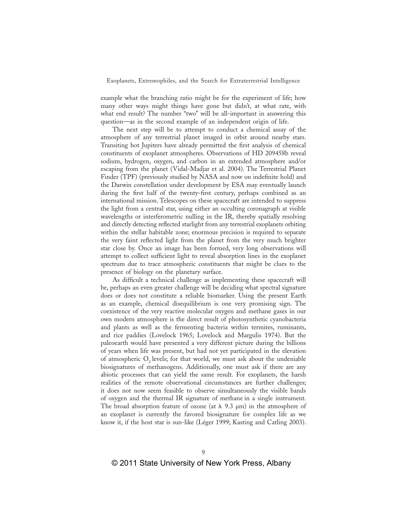example what the branching ratio might be for the experiment of life; how many other ways might things have gone but didn't, at what rate, with what end result? The number "two" will be all-important in answering this question—as in the second example of an independent origin of life.

The next step will be to attempt to conduct a chemical assay of the atmosphere of any terrestrial planet imaged in orbit around nearby stars. Transiting hot Jupiters have already permitted the first analysis of chemical constituents of exoplanet atmospheres. Observations of HD 209458b reveal sodium, hydrogen, oxygen, and carbon in an extended atmosphere and/or escaping from the planet (Vidal-Madjar et al. 2004). The Terrestrial Planet Finder (TPF) (previously studied by NASA and now on indefinite hold) and the Darwin constellation under development by ESA may eventually launch during the first half of the twenty-first century, perhaps combined as an international mission. Telescopes on these spacecraft are intended to suppress the light from a central star, using either an occulting coronagraph at visible wavelengths or interferometric nulling in the IR, thereby spatially resolving and directly detecting reflected starlight from any terrestrial exoplanets orbiting within the stellar habitable zone; enormous precision is required to separate the very faint reflected light from the planet from the very much brighter star close by. Once an image has been formed, very long observations will attempt to collect sufficient light to reveal absorption lines in the exoplanet spectrum due to trace atmospheric constituents that might be clues to the presence of biology on the planetary surface.

As difficult a technical challenge as implementing these spacecraft will be, perhaps an even greater challenge will be deciding what spectral signature does or does not constitute a reliable biomarker. Using the present Earth as an example, chemical disequilibrium is one very promising sign. The coexistence of the very reactive molecular oxygen and methane gases in our own modern atmosphere is the direct result of photosynthetic cyanobacteria and plants as well as the fermenting bacteria within termites, ruminants, and rice paddies (Lovelock 1965; Lovelock and Margulis 1974). But the paleoearth would have presented a very different picture during the billions of years when life was present, but had not yet participated in the elevation of atmospheric  $O_2$  levels; for that world, we must ask about the undeniable biosignatures of methanogens. Additionally, one must ask if there are any abiotic processes that can yield the same result. For exoplanets, the harsh realities of the remote observational circumstances are further challenges; it does not now seem feasible to observe simultaneously the visible bands of oxygen and the thermal IR signature of methane in a single instrument. The broad absorption feature of ozone (at  $\lambda$  9.3 µm) in the atmosphere of an exoplanet is currently the favored biosignature for complex life as we know it, if the host star is sun-like (Léger 1999; Kasting and Catling 2003).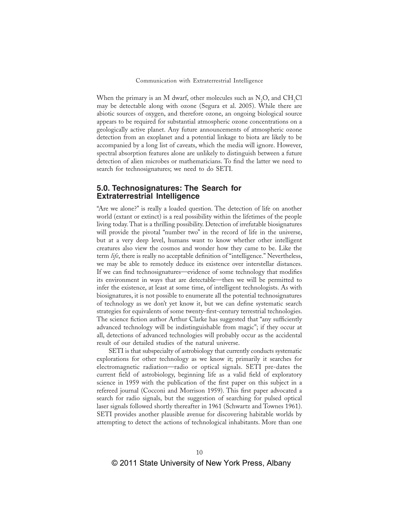When the primary is an M dwarf, other molecules such as  $N_2O$ , and  $CH_3Cl$ may be detectable along with ozone (Segura et al. 2005). While there are abiotic sources of oxygen, and therefore ozone, an ongoing biological source appears to be required for substantial atmospheric ozone concentrations on a geologically active planet. Any future announcements of atmospheric ozone detection from an exoplanet and a potential linkage to biota are likely to be accompanied by a long list of caveats, which the media will ignore. However, spectral absorption features alone are unlikely to distinguish between a future detection of alien microbes or mathematicians. To find the latter we need to search for technosignatures; we need to do SETI.

# **5.0. Technosignatures: The Search for Extraterrestrial Intelligence**

"Are we alone?" is really a loaded question. The detection of life on another world (extant or extinct) is a real possibility within the lifetimes of the people living today. That is a thrilling possibility. Detection of irrefutable biosignatures will provide the pivotal "number two" in the record of life in the universe, but at a very deep level, humans want to know whether other intelligent creatures also view the cosmos and wonder how they came to be. Like the term *life*, there is really no acceptable definition of "intelligence." Nevertheless, we may be able to remotely deduce its existence over interstellar distances. If we can find technosignatures—evidence of some technology that modifies its environment in ways that are detectable—then we will be permitted to infer the existence, at least at some time, of intelligent technologists. As with biosignatures, it is not possible to enumerate all the potential technosignatures of technology as we don't yet know it, but we can define systematic search strategies for equivalents of some twenty-first-century terrestrial technologies. The science fiction author Arthur Clarke has suggested that "any sufficiently advanced technology will be indistinguishable from magic"; if they occur at all, detections of advanced technologies will probably occur as the accidental result of our detailed studies of the natural universe.

SETI is that subspecialty of astrobiology that currently conducts systematic explorations for other technology as we know it; primarily it searches for electromagnetic radiation—radio or optical signals. SETI pre-dates the current field of astrobiology, beginning life as a valid field of exploratory science in 1959 with the publication of the first paper on this subject in a refereed journal (Cocconi and Morrison 1959). This first paper advocated a search for radio signals, but the suggestion of searching for pulsed optical laser signals followed shortly thereafter in 1961 (Schwartz and Townes 1961). SETI provides another plausible avenue for discovering habitable worlds by attempting to detect the actions of technological inhabitants. More than one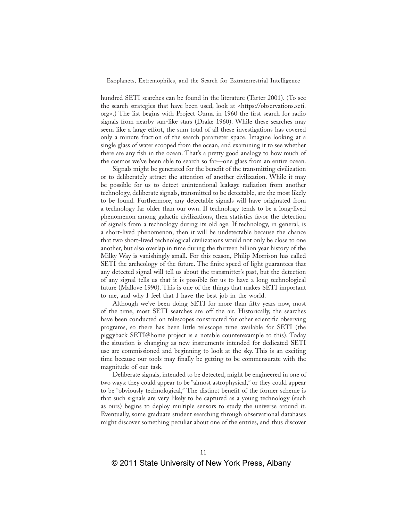hundred SETI searches can be found in the literature (Tarter 2001). (To see the search strategies that have been used, look at <https://observations.seti. org>.) The list begins with Project Ozma in 1960 the first search for radio signals from nearby sun-like stars (Drake 1960). While these searches may seem like a large effort, the sum total of all these investigations has covered only a minute fraction of the search parameter space. Imagine looking at a single glass of water scooped from the ocean, and examining it to see whether there are any fish in the ocean. That's a pretty good analogy to how much of the cosmos we've been able to search so far—one glass from an entire ocean.

Signals might be generated for the benefit of the transmitting civilization or to deliberately attract the attention of another civilization. While it may be possible for us to detect unintentional leakage radiation from another technology, deliberate signals, transmitted to be detectable, are the most likely to be found. Furthermore, any detectable signals will have originated from a technology far older than our own. If technology tends to be a long-lived phenomenon among galactic civilizations, then statistics favor the detection of signals from a technology during its old age. If technology, in general, is a short-lived phenomenon, then it will be undetectable because the chance that two short-lived technological civilizations would not only be close to one another, but also overlap in time during the thirteen billion year history of the Milky Way is vanishingly small. For this reason, Philip Morrison has called SETI the archeology of the future. The finite speed of light guarantees that any detected signal will tell us about the transmitter's past, but the detection of any signal tells us that it is possible for us to have a long technological future (Mallove 1990). This is one of the things that makes SETI important to me, and why I feel that I have the best job in the world.

Although we've been doing SETI for more than fifty years now, most of the time, most SETI searches are off the air. Historically, the searches have been conducted on telescopes constructed for other scientific observing programs, so there has been little telescope time available for SETI (the piggyback SETI@home project is a notable counterexample to this). Today the situation is changing as new instruments intended for dedicated SETI use are commissioned and beginning to look at the sky. This is an exciting time because our tools may finally be getting to be commensurate with the magnitude of our task.

Deliberate signals, intended to be detected, might be engineered in one of two ways: they could appear to be "almost astrophysical," or they could appear to be "obviously technological," The distinct benefit of the former scheme is that such signals are very likely to be captured as a young technology (such as ours) begins to deploy multiple sensors to study the universe around it. Eventually, some graduate student searching through observational databases might discover something peculiar about one of the entries, and thus discover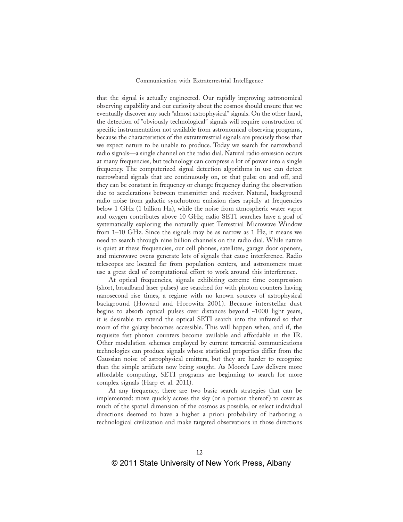that the signal is actually engineered. Our rapidly improving astronomical observing capability and our curiosity about the cosmos should ensure that we eventually discover any such "almost astrophysical" signals. On the other hand, the detection of "obviously technological" signals will require construction of specific instrumentation not available from astronomical observing programs, because the characteristics of the extraterrestrial signals are precisely those that we expect nature to be unable to produce. Today we search for narrowband radio signals—a single channel on the radio dial. Natural radio emission occurs at many frequencies, but technology can compress a lot of power into a single frequency. The computerized signal detection algorithms in use can detect narrowband signals that are continuously on, or that pulse on and off, and they can be constant in frequency or change frequency during the observation due to accelerations between transmitter and receiver. Natural, background radio noise from galactic synchrotron emission rises rapidly at frequencies below 1 GHz (1 billion Hz), while the noise from atmospheric water vapor and oxygen contributes above 10 GHz; radio SETI searches have a goal of systematically exploring the naturally quiet Terrestrial Microwave Window from 1–10 GHz. Since the signals may be as narrow as 1 Hz, it means we need to search through nine billion channels on the radio dial. While nature is quiet at these frequencies, our cell phones, satellites, garage door openers, and microwave ovens generate lots of signals that cause interference. Radio telescopes are located far from population centers, and astronomers must use a great deal of computational effort to work around this interference.

At optical frequencies, signals exhibiting extreme time compression (short, broadband laser pulses) are searched for with photon counters having nanosecond rise times, a regime with no known sources of astrophysical background (Howard and Horowitz 2001). Because interstellar dust begins to absorb optical pulses over distances beyond ~1000 light years, it is desirable to extend the optical SETI search into the infrared so that more of the galaxy becomes accessible. This will happen when, and if, the requisite fast photon counters become available and affordable in the IR. Other modulation schemes employed by current terrestrial communications technologies can produce signals whose statistical properties differ from the Gaussian noise of astrophysical emitters, but they are harder to recognize than the simple artifacts now being sought. As Moore's Law delivers more affordable computing, SETI programs are beginning to search for more complex signals (Harp et al. 2011).

At any frequency, there are two basic search strategies that can be implemented: move quickly across the sky (or a portion thereof) to cover as much of the spatial dimension of the cosmos as possible, or select individual directions deemed to have a higher a priori probability of harboring a technological civilization and make targeted observations in those directions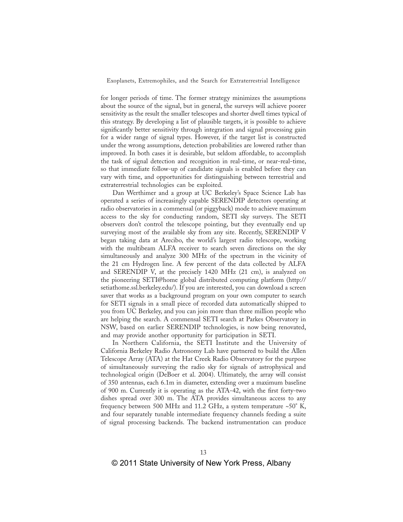for longer periods of time. The former strategy minimizes the assumptions about the source of the signal, but in general, the surveys will achieve poorer sensitivity as the result the smaller telescopes and shorter dwell times typical of this strategy. By developing a list of plausible targets, it is possible to achieve significantly better sensitivity through integration and signal processing gain for a wider range of signal types. However, if the target list is constructed under the wrong assumptions, detection probabilities are lowered rather than improved. In both cases it is desirable, but seldom affordable, to accomplish the task of signal detection and recognition in real-time, or near-real-time, so that immediate follow-up of candidate signals is enabled before they can vary with time, and opportunities for distinguishing between terrestrial and extraterrestrial technologies can be exploited.

Dan Werthimer and a group at UC Berkeley's Space Science Lab has operated a series of increasingly capable SERENDIP detectors operating at radio observatories in a commensal (or piggyback) mode to achieve maximum access to the sky for conducting random, SETI sky surveys. The SETI observers don't control the telescope pointing, but they eventually end up surveying most of the available sky from any site. Recently, SERENDIP V began taking data at Arecibo, the world's largest radio telescope, working with the multibeam ALFA receiver to search seven directions on the sky simultaneously and analyze 300 MHz of the spectrum in the vicinity of the 21 cm Hydrogen line. A few percent of the data collected by ALFA and SERENDIP V, at the precisely 1420 MHz (21 cm), is analyzed on the pioneering SETI@home global distributed computing platform (http:// setiathome.ssl.berkeley.edu/). If you are interested, you can download a screen saver that works as a background program on your own computer to search for SETI signals in a small piece of recorded data automatically shipped to you from UC Berkeley, and you can join more than three million people who are helping the search. A commensal SETI search at Parkes Observatory in NSW, based on earlier SERENDIP technologies, is now being renovated, and may provide another opportunity for participation in SETI.

In Northern California, the SETI Institute and the University of California Berkeley Radio Astronomy Lab have partnered to build the Allen Telescope Array (ATA) at the Hat Creek Radio Observatory for the purpose of simultaneously surveying the radio sky for signals of astrophysical and technological origin (DeBoer et al. 2004). Ultimately, the array will consist of 350 antennas, each 6.1m in diameter, extending over a maximum baseline of 900 m. Currently it is operating as the ATA-42, with the first forty-two dishes spread over 300 m. The ATA provides simultaneous access to any frequency between 500 MHz and 11.2 GHz, a system temperature ~50° K, and four separately tunable intermediate frequency channels feeding a suite of signal processing backends. The backend instrumentation can produce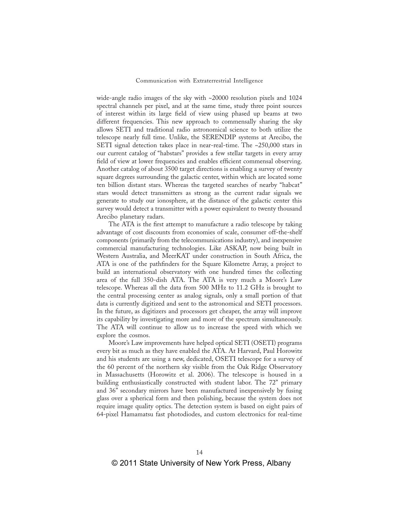wide-angle radio images of the sky with ~20000 resolution pixels and 1024 spectral channels per pixel, and at the same time, study three point sources of interest within its large field of view using phased up beams at two different frequencies. This new approach to commensally sharing the sky allows SETI and traditional radio astronomical science to both utilize the telescope nearly full time. Unlike, the SERENDIP systems at Arecibo, the SETI signal detection takes place in near-real-time. The ~250,000 stars in our current catalog of "habstars" provides a few stellar targets in every array field of view at lower frequencies and enables efficient commensal observing. Another catalog of about 3500 target directions is enabling a survey of twenty square degrees surrounding the galactic center, within which are located some ten billion distant stars. Whereas the targeted searches of nearby "habcat" stars would detect transmitters as strong as the current radar signals we generate to study our ionosphere, at the distance of the galactic center this survey would detect a transmitter with a power equivalent to twenty thousand Arecibo planetary radars.

The ATA is the first attempt to manufacture a radio telescope by taking advantage of cost discounts from economies of scale, consumer off-the-shelf components (primarily from the telecommunications industry), and inexpensive commercial manufacturing technologies. Like ASKAP, now being built in Western Australia, and MeerKAT under construction in South Africa, the ATA is one of the pathfinders for the Square Kilometre Array, a project to build an international observatory with one hundred times the collecting area of the full 350-dish ATA. The ATA is very much a Moore's Law telescope. Whereas all the data from 500 MHz to 11.2 GHz is brought to the central processing center as analog signals, only a small portion of that data is currently digitized and sent to the astronomical and SETI processors. In the future, as digitizers and processors get cheaper, the array will improve its capability by investigating more and more of the spectrum simultaneously. The ATA will continue to allow us to increase the speed with which we explore the cosmos.

Moore's Law improvements have helped optical SETI (OSETI) programs every bit as much as they have enabled the ATA. At Harvard, Paul Horowitz and his students are using a new, dedicated, OSETI telescope for a survey of the 60 percent of the northern sky visible from the Oak Ridge Observatory in Massachusetts (Horowitz et al. 2006). The telescope is housed in a building enthusiastically constructed with student labor. The 72" primary and 36" secondary mirrors have been manufactured inexpensively by fusing glass over a spherical form and then polishing, because the system does not require image quality optics. The detection system is based on eight pairs of 64-pixel Hamamatsu fast photodiodes, and custom electronics for real-time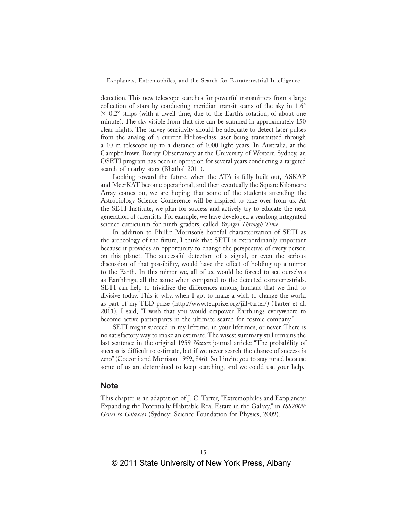detection. This new telescope searches for powerful transmitters from a large collection of stars by conducting meridian transit scans of the sky in  $1.6^{\circ}$  $\times$  0.2° strips (with a dwell time, due to the Earth's rotation, of about one minute). The sky visible from that site can be scanned in approximately 150 clear nights. The survey sensitivity should be adequate to detect laser pulses from the analog of a current Helios-class laser being transmitted through a 10 m telescope up to a distance of 1000 light years. In Australia, at the Campbelltown Rotary Observatory at the University of Western Sydney, an OSETI program has been in operation for several years conducting a targeted search of nearby stars (Bhathal 2011).

Looking toward the future, when the ATA is fully built out, ASKAP and MeerKAT become operational, and then eventually the Square Kilometre Array comes on, we are hoping that some of the students attending the Astrobiology Science Conference will be inspired to take over from us. At the SETI Institute, we plan for success and actively try to educate the next generation of scientists. For example, we have developed a yearlong integrated science curriculum for ninth graders, called *Voyages Through Time*.

In addition to Phillip Morrison's hopeful characterization of SETI as the archeology of the future, I think that SETI is extraordinarily important because it provides an opportunity to change the perspective of every person on this planet. The successful detection of a signal, or even the serious discussion of that possibility, would have the effect of holding up a mirror to the Earth. In this mirror we, all of us, would be forced to see ourselves as Earthlings, all the same when compared to the detected extraterrestrials. SETI can help to trivialize the differences among humans that we find so divisive today. This is why, when I got to make a wish to change the world as part of my TED prize (http://www.tedprize.org/jill-tarter/) (Tarter et al. 2011), I said, "I wish that you would empower Earthlings everywhere to become active participants in the ultimate search for cosmic company."

SETI might succeed in my lifetime, in your lifetimes, or never. There is no satisfactory way to make an estimate. The wisest summary still remains the last sentence in the original 1959 *Nature* journal article: "The probability of success is difficult to estimate, but if we never search the chance of success is zero" (Cocconi and Morrison 1959, 846). So I invite you to stay tuned because some of us are determined to keep searching, and we could use your help.

# **Note**

This chapter is an adaptation of J. C. Tarter, "Extremophiles and Exoplanets: Expanding the Potentially Habitable Real Estate in the Galaxy," in *ISS2009: Genes to Galaxies* (Sydney: Science Foundation for Physics, 2009).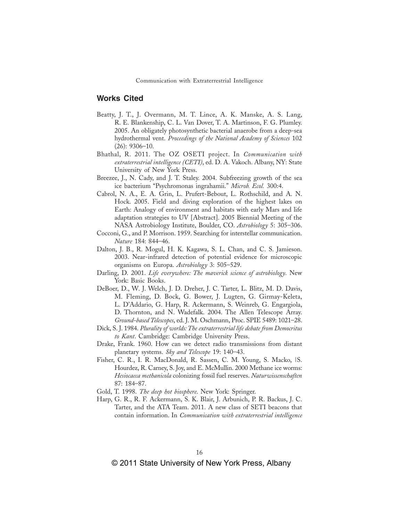# **Works Cited**

- Beatty, J. T., J. Overmann, M. T. Lince, A. K. Manske, A. S. Lang, R. E. Blankenship, C. L. Van Dover, T. A. Martinson, F. G. Plumley. 2005. An obligately photosynthetic bacterial anaerobe from a deep-sea hydrothermal vent. *Proceedings of the National Academy of Sciences* 102 (26): 9306–10.
- Bhathal, R. 2011. The OZ OSETI project. In *Communication with extraterrestrial intelligence (CETI)*, ed. D. A. Vakoch. Albany, NY: State University of New York Press.
- Breezee, J., N. Cady, and J. T. Staley. 2004. Subfreezing growth of the sea ice bacterium "Psychromonas ingrahamii." *Microb. Ecol.* 300:4.
- Cabrol, N. A., E. A. Grin, L. Prufert-Bebout, L. Rothschild, and A. N. Hock. 2005. Field and diving exploration of the highest lakes on Earth: Analogy of environment and habitats with early Mars and life adaptation strategies to UV [Abstract]. 2005 Biennial Meeting of the NASA Astrobiology Institute, Boulder, CO. *Astrobiology* 5: 305–306.
- Cocconi, G., and P. Morrison. 1959. Searching for interstellar communication. *Nature* 184: 844–46.
- Dalton, J. B., R. Mogul, H. K. Kagawa, S. L. Chan, and C. S. Jamieson. 2003. Near-infrared detection of potential evidence for microscopic organisms on Europa. *Astrobiology* 3: 505–529.
- Darling, D. 2001. *Life everywhere: The maverick science of astrobiology*. New York: Basic Books.
- DeBoer, D., W. J. Welch, J. D. Dreher, J. C. Tarter, L. Blitz, M. D. Davis, M. Fleming, D. Bock, G. Bower, J. Lugten, G. Girmay-Keleta, L. D'Addario, G. Harp, R. Ackermann, S. Weinreb, G. Engargiola, D. Thornton, and N. Wadefalk. 2004. The Allen Telescope Array. *Ground-based Telescopes*, ed. J. M. Oschmann, Proc. SPIE 5489: 1021–28.
- Dick, S. J. 1984. *Plurality of worlds: The extraterrestrial life debate from Democritus to Kant*. Cambridge: Cambridge University Press.
- Drake, Frank. 1960. How can we detect radio transmissions from distant planetary systems. *Sky and Telescope* 19: 140–43.
- Fisher, C. R., I. R. MacDonald, R. Sassen, C. M. Young, S. Macko, |S. Hourdez, R. Carney, S. Joy, and E. McMullin. 2000 Methane ice worms: *Hesiocaeca methanicola* colonizing fossil fuel reserves. *Naturwissenschaften* 87: 184–87.
- Gold, T. 1998. *The deep hot biosphere*. New York: Springer.
- Harp, G. R., R. F. Ackermann, S. K. Blair, J. Arbunich, P. R. Backus, J. C. Tarter, and the ATA Team. 2011. A new class of SETI beacons that contain information. In *Communication with extraterrestrial intelligence*

### © 2011 State University of New York Press, Albany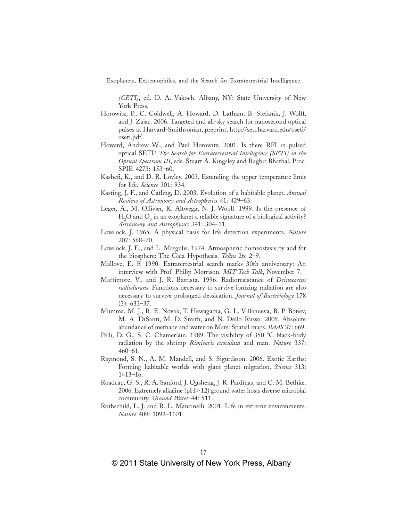*(CETI)*, ed. D. A. Vakoch. Albany, NY: State University of New York Press.

- Horowitz, P., C. Coldwell, A. Howard, D. Latham, B. Stefanik, J. Wolff, and J. Zajac. 2006. Targeted and all-sky search for nanosecond optical pulses at Harvard-Smithsonian, preprint, http://seti.harvard.edu/oseti/ oseti.pdf.
- Howard, Andrew W., and Paul Horowitz. 2001. Is there RFI in pulsed optical SETI? *The Search for Extraterrestrial Intelligence (SETI) in the Optical Spectrum III*, eds. Stuart A. Kingsley and Ragbir Bhathal, Proc. SPIE 4273: 153–60.
- Kashefi, K., and D. R. Lovley. 2003. Extending the upper temperature limit for life. *Science* 301: 934.
- Kasting, J. F., and Catling, D. 2003. Evolution of a habitable planet. *Annual Review of Astronomy and Astrophysics* 41: 429–63.
- Léger, A., M. Ollivier, K. Altwegg, N. J. Woolf. 1999. Is the presence of  $H_2$ O and  $O_3$  in an exoplanet a reliable signature of a biological activity? *Astronomy and Astrophysics* 341: 304–11.
- Lovelock, J. 1965. A physical basis for life detection experiments. *Nature* 207: 568–70.
- Lovelock, J. E., and L. Margulis. 1974. Atmospheric homeostasis by and for the biosphere: The Gaia Hypothesis. *Tellus* 26: 2–9.
- Mallove, E. F. 1990. Extraterrestrial search marks 30th anniversary: An interview with Prof. Philip Morrison. *MIT Tech Talk*, November 7.
- Mattimore, V., and J. R. Battista. 1996. Radioresistance of *Deinococcus radiodurans*: Functions necessary to survive ionizing radiation are also necessary to survive prolonged dessication. *Journal of Bacteriology* 178 (3): 633–37.
- Mumma, M. J., R. E. Novak, T. Hewagama, G. L. Villanueva, B. P. Bonev, M. A. DiSanti, M. D. Smith, and N. Dello Russo. 2005. Absolute abundance of methane and water on Mars: Spatial maps. *BAAS* 37: 669.
- Pelli, D. G., S. C. Chamerlain. 1989. The visibility of 350 °C black-body radiation by the shrimp *Rimicaris exoculata* and man. *Nature* 337: 460–61.
- Raymond, S. N., A. M. Mandell, and S. Sigurdsson. 2006. Exotic Earths: Forming habitable worlds with giant planet migration. *Science* 313: 1413–16.
- Roadcap, G. S., R. A. Sanford, J. Qusheng, J. R. Pardinas, and C. M. Bethke. 2006. Extremely alkaline ( $pH>12$ ) ground water hosts diverse microbial community. *Ground Water* 44: 511.
- Rothschild, L. J. and R. L. Mancinelli. 2001. Life in extreme environments. *Nature* 409: 1092–1101.